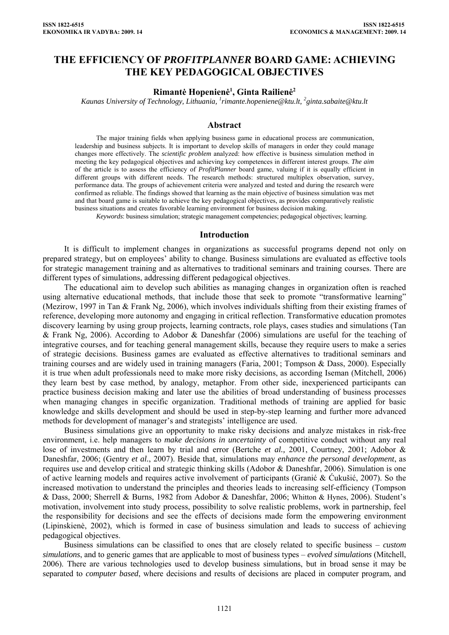# **THE EFFICIENCY OF** *PROFITPLANNER* **BOARD GAME: ACHIEVING THE KEY PEDAGOGICAL OBJECTIVES**

### **Rimantė Hopenienė<sup>1</sup> , Ginta Railienė<sup>2</sup>**

*Kaunas University of Technology, Lithuania, [1](mailto:1rimante.hopeniene@ktu.lt) [rimante.hopeniene@ktu.lt](mailto:1rimante.hopeniene@ktu.lt), 2 ginta.sabaite@ktu.lt* 

### **Abstract**

The major training fields when applying business game in educational process are communication, leadership and business subjects. It is important to develop skills of managers in order they could manage changes more effectively. The *scientific problem* analyzed: how effective is business simulation method in meeting the key pedagogical objectives and achieving key competences in different interest groups. *The aim* of the article is to assess the efficiency of *ProfitPlanner* board game, valuing if it is equally efficient in different groups with different needs. The research methods: structured multiplex observation, survey, performance data. The groups of achievement criteria were analyzed and tested and during the research were confirmed as reliable. The findings showed that learning as the main objective of business simulation was met and that board game is suitable to achieve the key pedagogical objectives, as provides comparatively realistic business situations and creates favorable learning environment for business decision making.

*Keywords*: business simulation; strategic management competencies; pedagogical objectives; learning.

#### **Introduction**

It is difficult to implement changes in organizations as successful programs depend not only on prepared strategy, but on employees' ability to change. Business simulations are evaluated as effective tools for strategic management training and as alternatives to traditional seminars and training courses. There are different types of simulations, addressing different pedagogical objectives.

The educational aim to develop such abilities as managing changes in organization often is reached using alternative educational methods, that include those that seek to promote "transformative learning" (Mezirow, 1997 in Tan & Frank Ng, 2006), which involves individuals shifting from their existing frames of reference, developing more autonomy and engaging in critical reflection. Transformative education promotes discovery learning by using group projects, learning contracts, role plays, cases studies and simulations (Tan & Frank Ng, 2006). According to Adobor & Daneshfar (2006) simulations are useful for the teaching of integrative courses, and for teaching general management skills, because they require users to make a series of strategic decisions. Business games are evaluated as effective alternatives to traditional seminars and training courses and are widely used in training managers (Faria, 2001; Tompson & Dass, 2000). Especially it is true when adult professionals need to make more risky decisions, as according Iseman (Mitchell, 2006) they learn best by case method, by analogy, metaphor. From other side, inexperienced participants can practice business decision making and later use the abilities of broad understanding of business processes when managing changes in specific organization. Traditional methods of training are applied for basic knowledge and skills development and should be used in step-by-step learning and further more advanced methods for development of manager's and strategists' intelligence are used.

Business simulations give an opportunity to make risky decisions and analyze mistakes in risk-free environment, i.e. help managers to *make decisions in uncertainty* of competitive conduct without any real lose of investments and then learn by trial and error (Bertche *et al.,* 2001, Courtney, 2001; Adobor & Daneshfar, 2006; (Gentry *et al.*, 2007). Beside that, simulations may *enhance the personal development*, as requires use and develop critical and strategic thinking skills (Adobor & Daneshfar, 2006). Simulation is one of active learning models and requires active involvement of participants (Granić & Ćukušić, 2007). So the increased motivation to understand the principles and theories leads to increasing self-efficiency (Tompson & Dass, 2000; Sherrell & Burns, 1982 from Adobor & Daneshfar, 2006; Whitton & Hynes, 2006). Student's motivation, involvement into study process, possibility to solve realistic problems, work in partnership, feel the responsibility for decisions and see the effects of decisions made form the empowering environment (Lipinskienė, 2002), which is formed in case of business simulation and leads to success of achieving pedagogical objectives.

Business simulations can be classified to ones that are closely related to specific business – *custom simulations*, and to generic games that are applicable to most of business types – *evolved simulations* (Mitchell, 2006). There are various technologies used to develop business simulations, but in broad sense it may be separated to *computer based*, where decisions and results of decisions are placed in computer program, and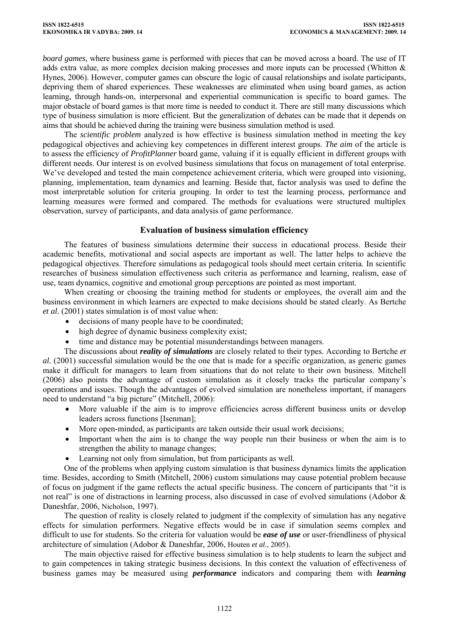*board games*, where business game is performed with pieces that can be moved across a board. The use of IT adds extra value, as more complex decision making processes and more inputs can be processed (Whitton & Hynes, 2006). However, computer games can obscure the logic of causal relationships and isolate participants, depriving them of shared experiences. These weaknesses are eliminated when using board games, as action learning, through hands-on, interpersonal and experiential communication is specific to board games. The major obstacle of board games is that more time is needed to conduct it. There are still many discussions which type of business simulation is more efficient. But the generalization of debates can be made that it depends on aims that should be achieved during the training were business simulation method is used.

The *scientific problem* analyzed is how effective is business simulation method in meeting the key pedagogical objectives and achieving key competences in different interest groups. *The aim* of the article is to assess the efficiency of *ProfitPlanner* board game, valuing if it is equally efficient in different groups with different needs. Our interest is on evolved business simulations that focus on management of total enterprise. We've developed and tested the main competence achievement criteria, which were grouped into visioning, planning, implementation, team dynamics and learning. Beside that, factor analysis was used to define the most interpretable solution for criteria grouping. In order to test the learning process, performance and learning measures were formed and compared. The methods for evaluations were structured multiplex observation, survey of participants, and data analysis of game performance.

## **Evaluation of business simulation efficiency**

The features of business simulations determine their success in educational process. Beside their academic benefits, motivational and social aspects are important as well. The latter helps to achieve the pedagogical objectives. Therefore simulations as pedagogical tools should meet certain criteria. In scientific researches of business simulation effectiveness such criteria as performance and learning, realism, ease of use, team dynamics, cognitive and emotional group perceptions are pointed as most important.

When creating or choosing the training method for students or employees, the overall aim and the business environment in which learners are expected to make decisions should be stated clearly. As Bertche *et al.* (2001) states simulation is of most value when:

- decisions of many people have to be coordinated;
- high degree of dynamic business complexity exist;
- time and distance may be potential misunderstandings between managers.

The discussions about *reality of simulations* are closely related to their types. According to Bertche *et al.* (2001) successful simulation would be the one that is made for a specific organization, as generic games make it difficult for managers to learn from situations that do not relate to their own business. Mitchell (2006) also points the advantage of custom simulation as it closely tracks the particular company's operations and issues. Though the advantages of evolved simulation are nonetheless important, if managers need to understand "a big picture" (Mitchell, 2006):

- More valuable if the aim is to improve efficiencies across different business units or develop leaders across functions [Isenman];
- More open-minded, as participants are taken outside their usual work decisions;
- Important when the aim is to change the way people run their business or when the aim is to strengthen the ability to manage changes;
- Learning not only from simulation, but from participants as well.

One of the problems when applying custom simulation is that business dynamics limits the application time. Besides, according to Smith (Mitchell, 2006) custom simulations may cause potential problem because of focus on judgment if the game reflects the actual specific business. The concern of participants that "it is not real" is one of distractions in learning process, also discussed in case of evolved simulations (Adobor & Daneshfar, 2006, Nicholson, 1997).

The question of reality is closely related to judgment if the complexity of simulation has any negative effects for simulation performers. Negative effects would be in case if simulation seems complex and difficult to use for students. So the criteria for valuation would be *ease of use* or user-friendliness of physical architecture of simulation (Adobor & Daneshfar, 2006, Houten *et al.*, 2005).

The main objective raised for effective business simulation is to help students to learn the subject and to gain competences in taking strategic business decisions. In this context the valuation of effectiveness of business games may be measured using *performance* indicators and comparing them with *learning*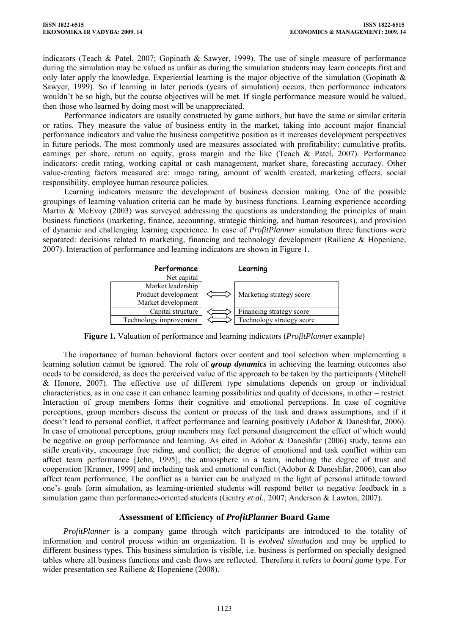indicators (Teach & Patel, 2007; Gopinath & Sawyer, 1999). The use of single measure of performance during the simulation may be valued as unfair as during the simulation students may learn concepts first and only later apply the knowledge. Experiential learning is the major objective of the simulation (Gopinath  $\&$ Sawyer, 1999). So if learning in later periods (years of simulation) occurs, then performance indicators wouldn't be so high, but the course objectives will be met. If single performance measure would be valued, then those who learned by doing most will be unappreciated.

Performance indicators are usually constructed by game authors, but have the same or similar criteria or ratios. They measure the value of business entity in the market, taking into account major financial performance indicators and value the business competitive position as it increases development perspectives in future periods. The most commonly used are measures associated with profitability: cumulative profits, earnings per share, return on equity, gross margin and the like (Teach & Patel, 2007). Performance indicators: credit rating, working capital or cash management, market share, forecasting accuracy. Other value-creating factors measured are: image rating, amount of wealth created, marketing effects, social responsibility, employee human resource policies.

Learning indicators measure the development of business decision making. One of the possible groupings of learning valuation criteria can be made by business functions. Learning experience according Martin & McEvoy (2003) was surveyed addressing the questions as understanding the principles of main business functions (marketing, finance, accounting, strategic thinking, and human resources), and provision of dynamic and challenging learning experience. In case of *ProfitPlanner* simulation three functions were separated: decisions related to marketing, financing and technology development (Railiene & Hopeniene, 2007). Interaction of performance and learning indicators are shown in Figure 1.



**Figure 1.** Valuation of performance and learning indicators (*ProfitPlanne*r example)

The importance of human behavioral factors over content and tool selection when implementing a learning solution cannot be ignored. The role of *group dynamics* in achieving the learning outcomes also needs to be considered, as does the perceived value of the approach to be taken by the participants (Mitchell & Honore, 2007). The effective use of different type simulations depends on group or individual characteristics, as in one case it can enhance learning possibilities and quality of decisions, in other – restrict. Interaction of group members forms their cognitive and emotional perceptions. In case of cognitive perceptions, group members discuss the content or process of the task and draws assumptions, and if it doesn't lead to personal conflict, it affect performance and learning positively (Adobor & Daneshfar, 2006). In case of emotional perceptions, group members may feel personal disagreement the effect of which would be negative on group performance and learning. As cited in Adobor & Daneshfar (2006) study, teams can stifle creativity, encourage free riding, and conflict; the degree of emotional and task conflict within can affect team performance [Jehn, 1995]; the atmosphere in a team, including the degree of trust and cooperation [Kramer, 1999] and including task and emotional conflict (Adobor & Daneshfar, 2006), can also affect team performance. The conflict as a barrier can be analyzed in the light of personal attitude toward one's goals form simulation, as learning-oriented students will respond better to negative feedback in a simulation game than performance-oriented students (Gentry *et al.*, 2007; Anderson & Lawton, 2007).

## **Assessment of Efficiency of** *ProfitPlanner* **Board Game**

*ProfitPlanner* is a company game through witch participants are introduced to the totality of information and control process within an organization. It is *evolved simulation* and may be applied to different business types. This business simulation is visible, i.e. business is performed on specially designed tables where all business functions and cash flows are reflected. Therefore it refers to *board game* type. For wider presentation see Railiene & Hopeniene (2008).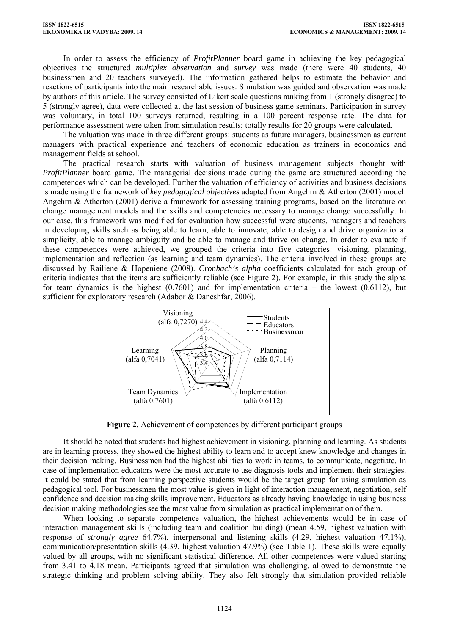In order to assess the efficiency of *ProfitPlanner* board game in achieving the key pedagogical objectives the structured *multiplex observation* and *survey* was made (there were 40 students, 40 businessmen and 20 teachers surveyed). The information gathered helps to estimate the behavior and reactions of participants into the main researchable issues. Simulation was guided and observation was made by authors of this article. The survey consisted of Likert scale questions ranking from 1 (strongly disagree) to 5 (strongly agree), data were collected at the last session of business game seminars. Participation in survey was voluntary, in total 100 surveys returned, resulting in a 100 percent response rate. The data for performance assessment were taken from simulation results; totally results for 20 groups were calculated.

The valuation was made in three different groups: students as future managers, businessmen as current managers with practical experience and teachers of economic education as trainers in economics and management fields at school.

The practical research starts with valuation of business management subjects thought with *ProfitPlanner* board game. The managerial decisions made during the game are structured according the competences which can be developed. Further the valuation of efficiency of activities and business decisions is made using the framework of *key pedagogical objectives* adapted from Angehrn & Atherton (2001) model. Angehrn & Atherton (2001) derive a framework for assessing training programs, based on the literature on change management models and the skills and competencies necessary to manage change successfully. In our case, this framework was modified for evaluation how successful were students, managers and teachers in developing skills such as being able to learn, able to innovate, able to design and drive organizational simplicity, able to manage ambiguity and be able to manage and thrive on change. In order to evaluate if these competences were achieved, we grouped the criteria into five categories: visioning, planning, implementation and reflection (as learning and team dynamics). The criteria involved in these groups are discussed by Railiene & Hopeniene (2008). *Cronbach's alpha* coefficients calculated for each group of criteria indicates that the items are sufficiently reliable (see Figure 2). For example, in this study the alpha for team dynamics is the highest (0.7601) and for implementation criteria – the lowest (0.6112), but sufficient for exploratory research (Adabor & Daneshfar, 2006).



**Figure 2.** Achievement of competences by different participant groups

It should be noted that students had highest achievement in visioning, planning and learning. As students are in learning process, they showed the highest ability to learn and to accept knew knowledge and changes in their decision making. Businessmen had the highest abilities to work in teams, to communicate, negotiate. In case of implementation educators were the most accurate to use diagnosis tools and implement their strategies. It could be stated that from learning perspective students would be the target group for using simulation as pedagogical tool. For businessmen the most value is given in light of interaction management, negotiation, self confidence and decision making skills improvement. Educators as already having knowledge in using business decision making methodologies see the most value from simulation as practical implementation of them.

When looking to separate competence valuation, the highest achievements would be in case of interaction management skills (including team and coalition building) (mean 4.59, highest valuation with response of *strongly agree* 64.7%), interpersonal and listening skills (4.29, highest valuation 47.1%), communication/presentation skills (4.39, highest valuation 47.9%) (see Table 1). These skills were equally valued by all groups, with no significant statistical difference. All other competences were valued starting from 3.41 to 4.18 mean. Participants agreed that simulation was challenging, allowed to demonstrate the strategic thinking and problem solving ability. They also felt strongly that simulation provided reliable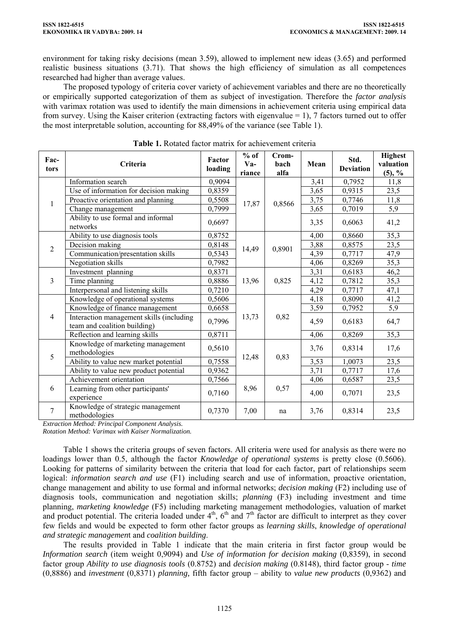environment for taking risky decisions (mean 3.59), allowed to implement new ideas (3.65) and performed realistic business situations (3.71). That shows the high efficiency of simulation as all competences researched had higher than average values.

The proposed typology of criteria cover variety of achievement variables and there are no theoretically or empirically supported categorization of them as subject of investigation. Therefore the *factor analysis* with varimax rotation was used to identify the main dimensions in achievement criteria using empirical data from survey. Using the Kaiser criterion (extracting factors with eigenvalue  $= 1$ ), 7 factors turned out to offer the most interpretable solution, accounting for 88,49% of the variance (see Table 1).

| Fac-<br>tors   | Criteria                                                                 | Factor<br>loading | $%$ of<br>$Va-$<br>riance | Crom-<br>bach<br>alfa | Mean | Std.<br><b>Deviation</b> | <b>Highest</b><br>valuation<br>$(5), \frac{9}{6}$ |
|----------------|--------------------------------------------------------------------------|-------------------|---------------------------|-----------------------|------|--------------------------|---------------------------------------------------|
| 1              | Information search                                                       | 0,9094            | 17,87                     | 0,8566                | 3,41 | 0,7952                   | 11,8                                              |
|                | Use of information for decision making                                   | 0,8359            |                           |                       | 3,65 | 0,9315                   | 23,5                                              |
|                | Proactive orientation and planning                                       | 0,5508            |                           |                       | 3,75 | 0,7746                   | 11,8                                              |
|                | Change management                                                        | 0,7999            |                           |                       | 3,65 | 0,7019                   | 5,9                                               |
|                | Ability to use formal and informal<br>networks                           | 0,6697            |                           |                       | 3,35 | 0,6063                   | 41,2                                              |
| $\overline{2}$ | Ability to use diagnosis tools                                           | 0,8752            | 14,49                     | 0,8901                | 4,00 | 0,8660                   | 35,3                                              |
|                | Decision making                                                          | 0,8148            |                           |                       | 3,88 | 0,8575                   | 23,5                                              |
|                | Communication/presentation skills                                        | 0,5343            |                           |                       | 4,39 | 0,7717                   | 47,9                                              |
|                | Negotiation skills                                                       | 0,7982            |                           |                       | 4,06 | 0,8269                   | 35,3                                              |
| $\overline{3}$ | Investment planning                                                      | 0,8371            | 13,96                     | 0,825                 | 3,31 | 0,6183                   | 46,2                                              |
|                | Time planning                                                            | 0,8886            |                           |                       | 4,12 | 0,7812                   | 35,3                                              |
|                | Interpersonal and listening skills                                       | 0,7210            |                           |                       | 4,29 | 0,7717                   | 47,1                                              |
| $\overline{4}$ | Knowledge of operational systems                                         | 0,5606            | 13,73                     | 0,82                  | 4,18 | 0,8090                   | 41,2                                              |
|                | Knowledge of finance management                                          | 0,6658            |                           |                       | 3,59 | 0,7952                   | $\overline{5,9}$                                  |
|                | Interaction management skills (including<br>team and coalition building) | 0,7996            |                           |                       | 4,59 | 0,6183                   | 64,7                                              |
|                | Reflection and learning skills                                           | 0,8711            |                           |                       | 4,06 | 0,8269                   | 35,3                                              |
| 5              | Knowledge of marketing management<br>methodologies                       | 0,5610            | 12,48                     | 0,83                  | 3,76 | 0,8314                   | 17,6                                              |
|                | Ability to value new market potential                                    | 0,7558            |                           |                       | 3,53 | 1,0073                   | 23,5                                              |
|                | Ability to value new product potential                                   | 0,9362            |                           |                       | 3,71 | 0,7717                   | 17,6                                              |
| 6              | Achievement orientation                                                  | 0,7566            | 8,96                      | 0,57                  | 4,06 | 0,6587                   | 23,5                                              |
|                | Learning from other participants'<br>experience                          | 0,7160            |                           |                       | 4,00 | 0,7071                   | 23,5                                              |
| 7              | Knowledge of strategic management<br>methodologies                       | 0,7370            | 7,00                      | na                    | 3,76 | 0,8314                   | 23,5                                              |

| <b>Table 1.</b> Rotated factor matrix for achievement criteria |  |  |  |  |  |  |
|----------------------------------------------------------------|--|--|--|--|--|--|
|----------------------------------------------------------------|--|--|--|--|--|--|

*Extraction Method: Principal Component Analysis.* 

*Rotation Method: Varimax with Kaiser Normalization.* 

Table 1 shows the criteria groups of seven factors. All criteria were used for analysis as there were no loadings lower than 0.5, although the factor *Knowledge of operational systems* is pretty close (0.5606). Looking for patterns of similarity between the criteria that load for each factor, part of relationships seem logical: *information search and use* (F1) including search and use of information, proactive orientation, change management and ability to use formal and informal networks; *decision making* (F2) including use of diagnosis tools, communication and negotiation skills; *planning* (F3) including investment and time planning, *marketing knowledge* (F5) including marketing management methodologies, valuation of market and product potential. The criteria loaded under  $4<sup>th</sup>$ ,  $6<sup>th</sup>$  and  $7<sup>th</sup>$  factor are difficult to interpret as they cover few fields and would be expected to form other factor groups as *learning skills*, *knowledge of operational and strategic managemen*t and *coalition building*.

The results provided in Table 1 indicate that the main criteria in first factor group would be *Information search* (item weight 0,9094) and *Use of information for decision making* (0,8359), in second factor group *Ability to use diagnosis tools* (0.8752) and *decision making* (0.8148), third factor group - *time* (0,8886) and *investment* (0,8371) *planning,* fifth factor group – ability to *value new products* (0,9362) and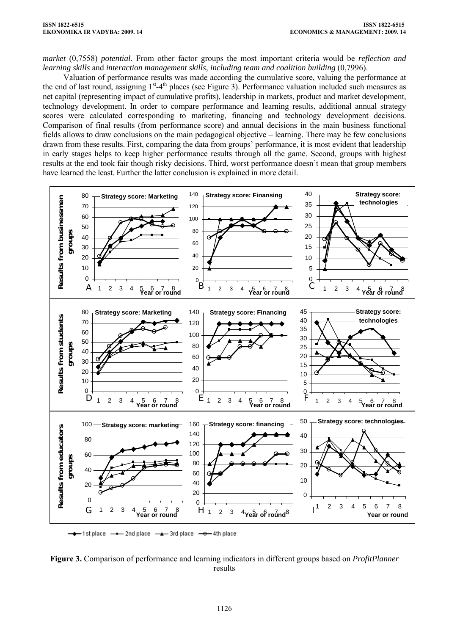*market* (0,7558) *potential*. From other factor groups the most important criteria would be *reflection and learning skills* and *interaction management skills, including team and coalition building* (0,7996).

Valuation of performance results was made according the cumulative score, valuing the performance at the end of last round, assigning  $1<sup>st</sup>-4<sup>th</sup>$  places (see Figure 3). Performance valuation included such measures as net capital (representing impact of cumulative profits), leadership in markets, product and market development, technology development. In order to compare performance and learning results, additional annual strategy scores were calculated corresponding to marketing, financing and technology development decisions. Comparison of final results (from performance score) and annual decisions in the main business functional fields allows to draw conclusions on the main pedagogical objective – learning. There may be few conclusions drawn from these results. First, comparing the data from groups' performance, it is most evident that leadership in early stages helps to keep higher performance results through all the game. Second, groups with highest results at the end took fair though risky decisions. Third, worst performance doesn't mean that group members have learned the least. Further the latter conclusion is explained in more detail.



**Figure 3.** Comparison of performance and learning indicators in different groups based on *ProfitPlanner* results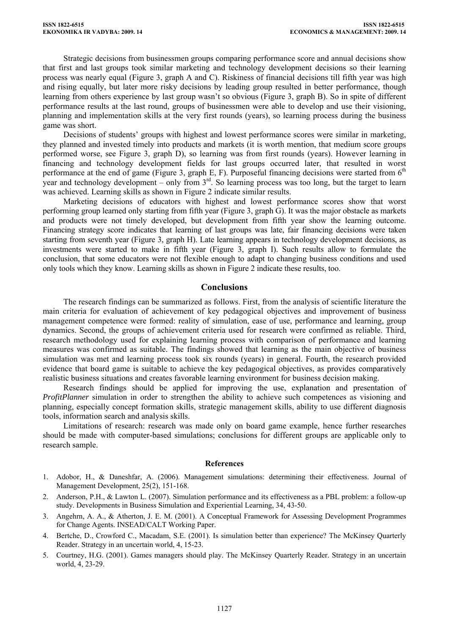Strategic decisions from businessmen groups comparing performance score and annual decisions show that first and last groups took similar marketing and technology development decisions so their learning process was nearly equal (Figure 3, graph A and C). Riskiness of financial decisions till fifth year was high and rising equally, but later more risky decisions by leading group resulted in better performance, though learning from others experience by last group wasn't so obvious (Figure 3, graph B). So in spite of different performance results at the last round, groups of businessmen were able to develop and use their visioning, planning and implementation skills at the very first rounds (years), so learning process during the business game was short.

Decisions of students' groups with highest and lowest performance scores were similar in marketing, they planned and invested timely into products and markets (it is worth mention, that medium score groups performed worse, see Figure 3, graph D), so learning was from first rounds (years). However learning in financing and technology development fields for last groups occurred later, that resulted in worst performance at the end of game (Figure 3, graph E, F). Purposeful financing decisions were started from  $6<sup>th</sup>$ year and technology development – only from  $3<sup>rd</sup>$ . So learning process was too long, but the target to learn was achieved. Learning skills as shown in Figure 2 indicate similar results.

Marketing decisions of educators with highest and lowest performance scores show that worst performing group learned only starting from fifth year (Figure 3, graph G). It was the major obstacle as markets and products were not timely developed, but development from fifth year show the learning outcome. Financing strategy score indicates that learning of last groups was late, fair financing decisions were taken starting from seventh year (Figure 3, graph H). Late learning appears in technology development decisions, as investments were started to make in fifth year (Figure 3, graph I). Such results allow to formulate the conclusion, that some educators were not flexible enough to adapt to changing business conditions and used only tools which they know. Learning skills as shown in Figure 2 indicate these results, too.

### **Conclusions**

The research findings can be summarized as follows. First, from the analysis of scientific literature the main criteria for evaluation of achievement of key pedagogical objectives and improvement of business management competence were formed: reality of simulation, ease of use, performance and learning, group dynamics. Second, the groups of achievement criteria used for research were confirmed as reliable. Third, research methodology used for explaining learning process with comparison of performance and learning measures was confirmed as suitable. The findings showed that learning as the main objective of business simulation was met and learning process took six rounds (years) in general. Fourth, the research provided evidence that board game is suitable to achieve the key pedagogical objectives, as provides comparatively realistic business situations and creates favorable learning environment for business decision making.

Research findings should be applied for improving the use, explanation and presentation of *ProfitPlanner* simulation in order to strengthen the ability to achieve such competences as visioning and planning, especially concept formation skills, strategic management skills, ability to use different diagnosis tools, information search and analysis skills.

Limitations of research: research was made only on board game example, hence further researches should be made with computer-based simulations; conclusions for different groups are applicable only to research sample.

#### **References**

- 1. Adobor, H., & Daneshfar, A. (2006). Management simulations: determining their effectiveness. Journal of Management Development, 25(2), 151-168.
- 2. Anderson, P.H., & Lawton L. (2007). Simulation performance and its effectiveness as a PBL problem: a follow-up study. Developments in Business Simulation and Experiential Learning, 34, 43-50.
- 3. Angehrn, A. A., & Atherton, J. E. M. (2001). A Conceptual Framework for Assessing Development Programmes for Change Agents. INSEAD/CALT Working Paper.
- 4. Bertche, D., Crowford C., Macadam, S.E. (2001). Is simulation better than experience? The McKinsey Quarterly Reader. Strategy in an uncertain world, 4, 15-23.
- 5. Courtney, H.G. (2001). Games managers should play. The McKinsey Quarterly Reader. Strategy in an uncertain world, 4, 23-29.